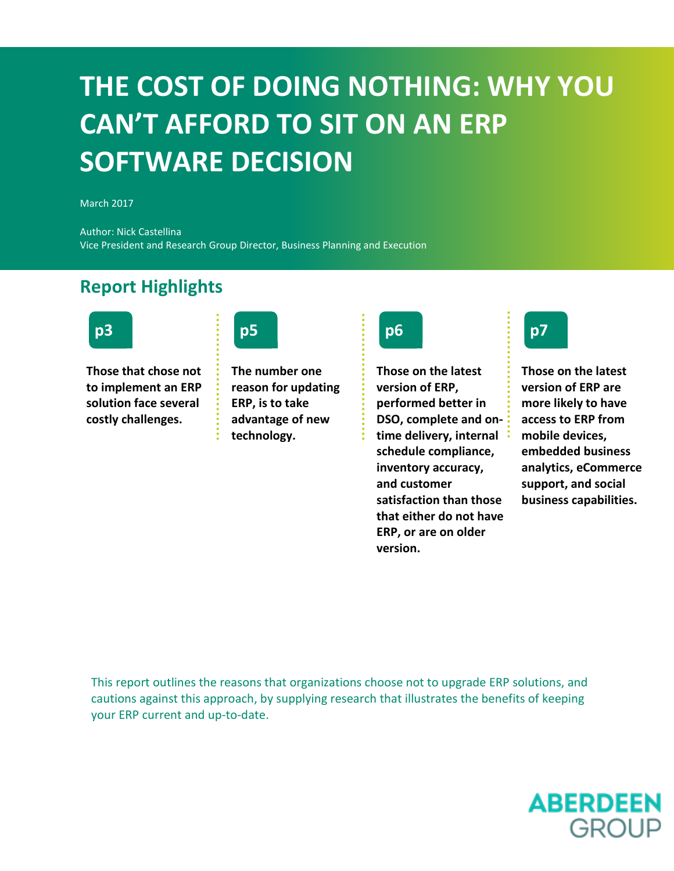### **THE COST OF DOING NOTHING: WHY YOU CAN'T AFFORD TO SIT ON AN ERP SOFTWARE DECISION**

March 2017

Author: Nick Castellina Vice President and Research Group Director, Business Planning and Execution

#### **Report Highlights**



**p3 p5 p6 p7**

**Those that chose not to implement an ERP solution face several costly challenges.** 





**Those on the latest version of ERP, performed better in DSO, complete and ontime delivery, internal schedule compliance, inventory accuracy, and customer satisfaction than those that either do not have ERP, or are on older version.** 



**Those on the latest version of ERP are more likely to have access to ERP from mobile devices, embedded business analytics, eCommerce support, and social business capabilities.** 

This report outlines the reasons that organizations choose not to upgrade ERP solutions, and cautions against this approach, by supplying research that illustrates the benefits of keeping your ERP current and up-to-date.

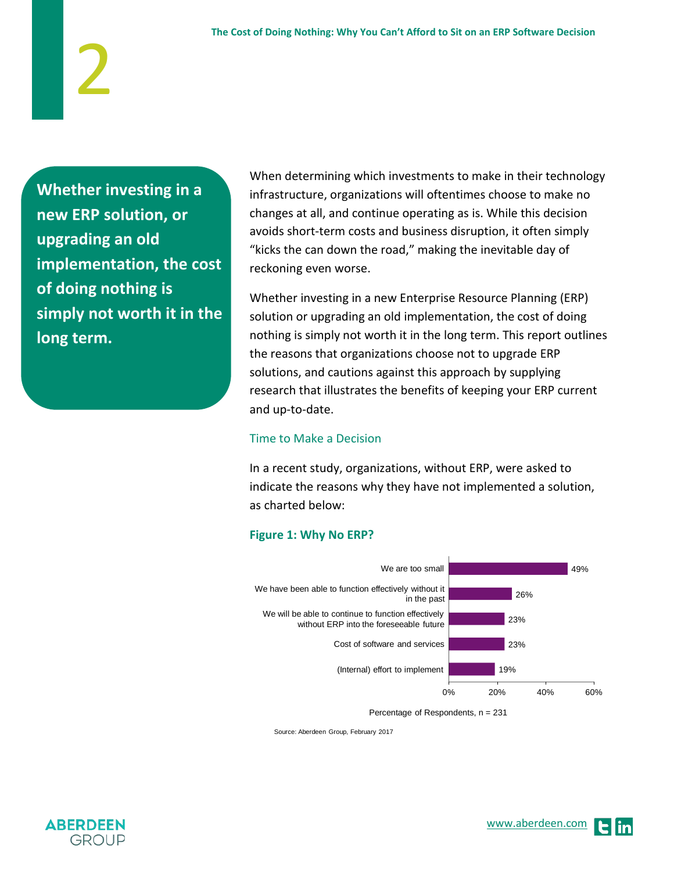**Whether investing in a new ERP solution, or upgrading an old implementation, the cost of doing nothing is simply not worth it in the long term.**

2

When determining which investments to make in their technology infrastructure, organizations will oftentimes choose to make no changes at all, and continue operating as is. While this decision avoids short-term costs and business disruption, it often simply "kicks the can down the road," making the inevitable day of reckoning even worse.

Whether investing in a new Enterprise Resource Planning (ERP) solution or upgrading an old implementation, the cost of doing nothing is simply not worth it in the long term. This report outlines the reasons that organizations choose not to upgrade ERP solutions, and cautions against this approach by supplying research that illustrates the benefits of keeping your ERP current and up-to-date.

#### Time to Make a Decision

In a recent study, organizations, without ERP, were asked to indicate the reasons why they have not implemented a solution, as charted below:

#### **Figure 1: Why No ERP?**



Percentage of Respondents, n = 231

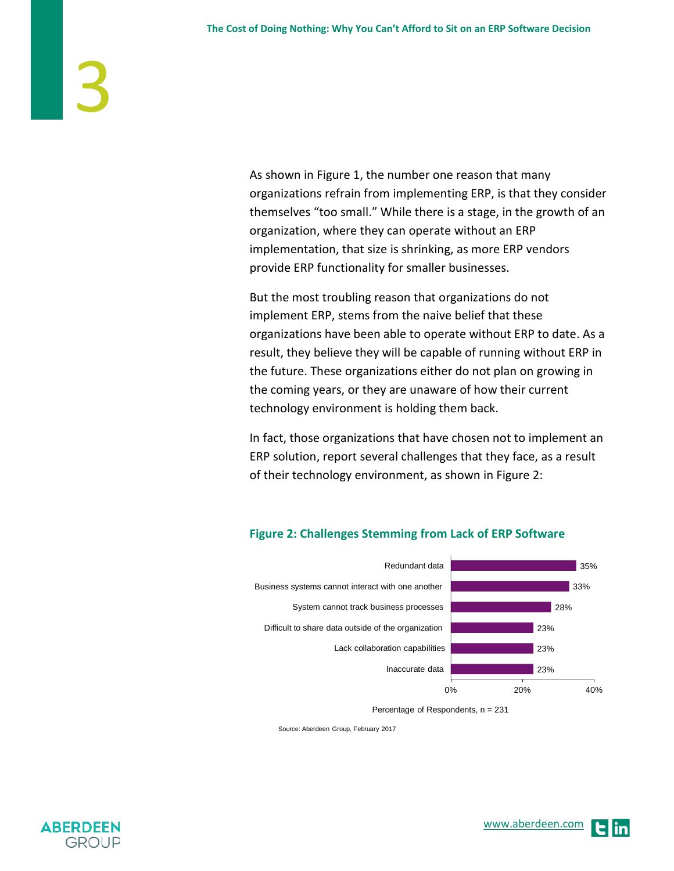As shown in Figure 1, the number one reason that many organizations refrain from implementing ERP, is that they consider themselves "too small." While there is a stage, in the growth of an organization, where they can operate without an ERP implementation, that size is shrinking, as more ERP vendors provide ERP functionality for smaller businesses.

But the most troubling reason that organizations do not implement ERP, stems from the naive belief that these organizations have been able to operate without ERP to date. As a result, they believe they will be capable of running without ERP in the future. These organizations either do not plan on growing in the coming years, or they are unaware of how their current technology environment is holding them back.

In fact, those organizations that have chosen not to implement an ERP solution, report several challenges that they face, as a result of their technology environment, as shown in Figure 2:



#### **Figure 2: Challenges Stemming from Lack of ERP Software**

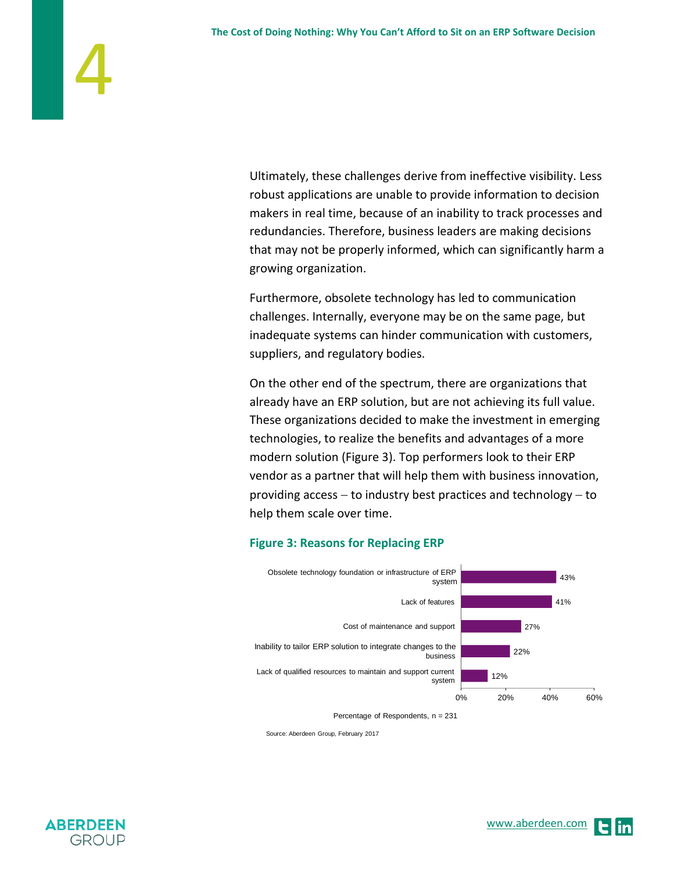Ultimately, these challenges derive from ineffective visibility. Less robust applications are unable to provide information to decision makers in real time, because of an inability to track processes and redundancies. Therefore, business leaders are making decisions that may not be properly informed, which can significantly harm a growing organization.

Furthermore, obsolete technology has led to communication challenges. Internally, everyone may be on the same page, but inadequate systems can hinder communication with customers, suppliers, and regulatory bodies.

On the other end of the spectrum, there are organizations that already have an ERP solution, but are not achieving its full value. These organizations decided to make the investment in emerging technologies, to realize the benefits and advantages of a more modern solution (Figure 3). Top performers look to their ERP vendor as a partner that will help them with business innovation, providing access – to industry best practices and technology – to help them scale over time.

#### **Figure 3: Reasons for Replacing ERP**



Percentage of Respondents, n = 231

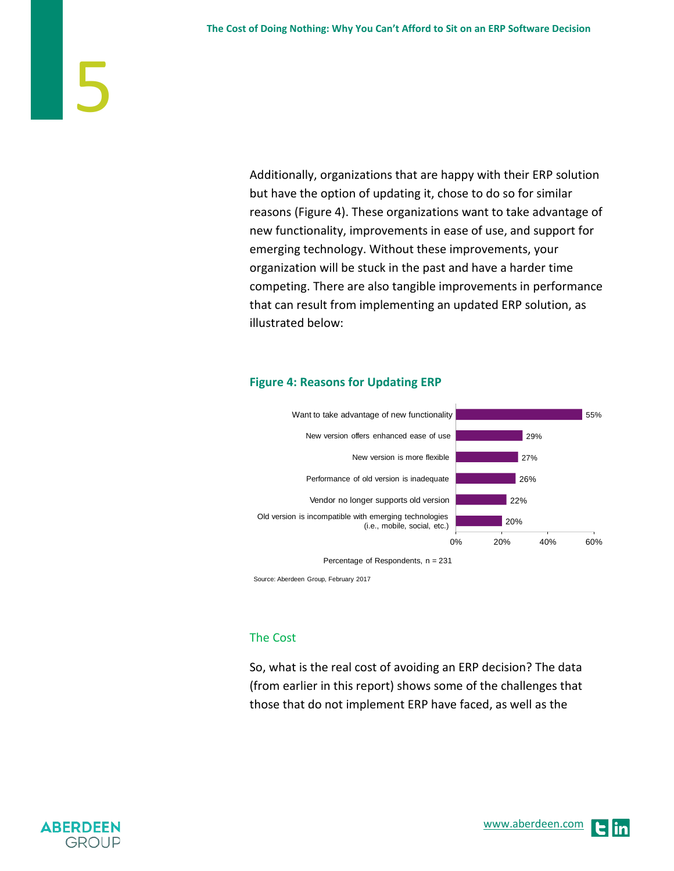Additionally, organizations that are happy with their ERP solution but have the option of updating it, chose to do so for similar reasons (Figure 4). These organizations want to take advantage of new functionality, improvements in ease of use, and support for emerging technology. Without these improvements, your organization will be stuck in the past and have a harder time competing. There are also tangible improvements in performance that can result from implementing an updated ERP solution, as illustrated below:

#### **Figure 4: Reasons for Updating ERP**



Source: Aberdeen Group, February 2017

#### The Cost

So, what is the real cost of avoiding an ERP decision? The data (from earlier in this report) shows some of the challenges that those that do not implement ERP have faced, as well as the

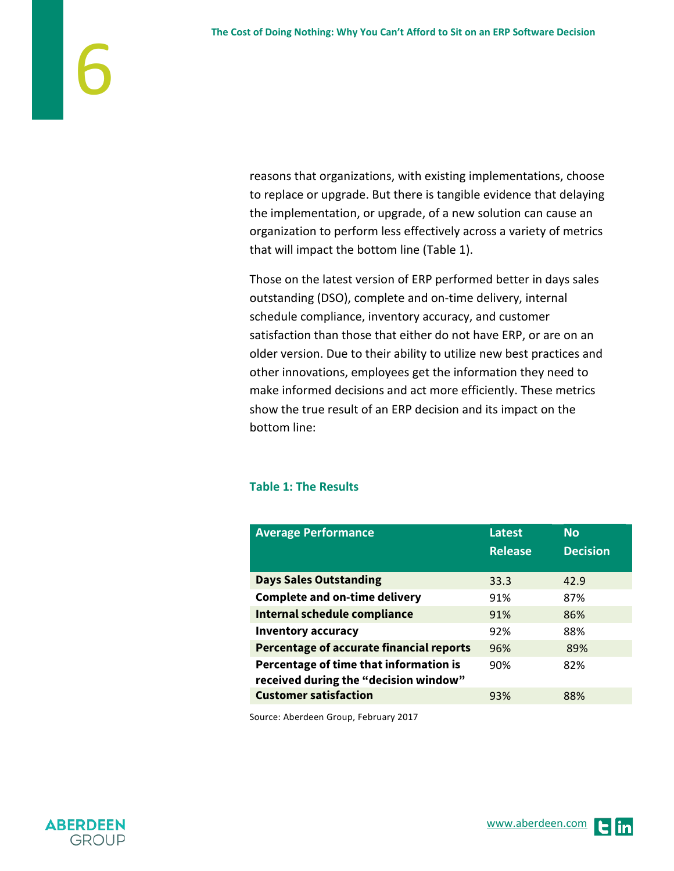reasons that organizations, with existing implementations, choose to replace or upgrade. But there is tangible evidence that delaying the implementation, or upgrade, of a new solution can cause an organization to perform less effectively across a variety of metrics that will impact the bottom line (Table 1).

Those on the latest version of ERP performed better in days sales outstanding (DSO), complete and on-time delivery, internal schedule compliance, inventory accuracy, and customer satisfaction than those that either do not have ERP, or are on an older version. Due to their ability to utilize new best practices and other innovations, employees get the information they need to make informed decisions and act more efficiently. These metrics show the true result of an ERP decision and its impact on the bottom line:

#### **Table 1: The Results**

| <b>Average Performance</b>                                                      | Latest<br><b>Release</b> | <b>No</b><br><b>Decision</b> |
|---------------------------------------------------------------------------------|--------------------------|------------------------------|
| <b>Days Sales Outstanding</b>                                                   | 33.3                     | 42.9                         |
| <b>Complete and on-time delivery</b>                                            | 91%                      | 87%                          |
| Internal schedule compliance                                                    | 91%                      | 86%                          |
| <b>Inventory accuracy</b>                                                       | 92%                      | 88%                          |
| Percentage of accurate financial reports                                        | 96%                      | 89%                          |
| Percentage of time that information is<br>received during the "decision window" | 90%                      | 82%                          |
| <b>Customer satisfaction</b>                                                    | 93%                      | 88%                          |

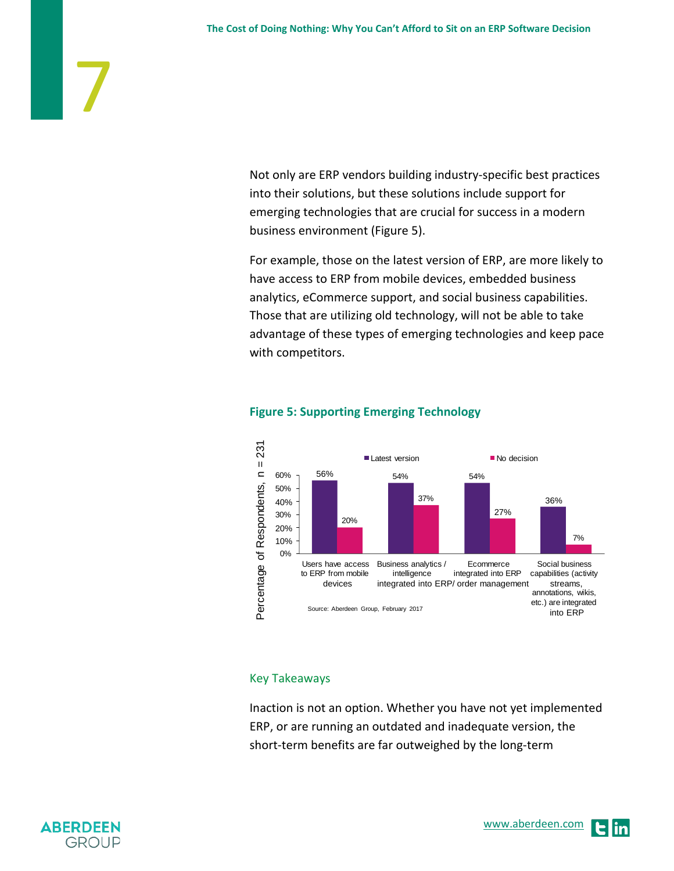Not only are ERP vendors building industry-specific best practices into their solutions, but these solutions include support for emerging technologies that are crucial for success in a modern business environment (Figure 5).

For example, those on the latest version of ERP, are more likely to have access to ERP from mobile devices, embedded business analytics, eCommerce support, and social business capabilities. Those that are utilizing old technology, will not be able to take advantage of these types of emerging technologies and keep pace with competitors.



#### **Figure 5: Supporting Emerging Technology**

#### Key Takeaways

Inaction is not an option. Whether you have not yet implemented ERP, or are running an outdated and inadequate version, the short-term benefits are far outweighed by the long-term